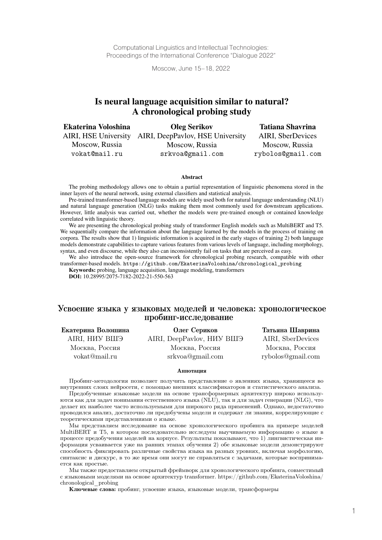Computational Linguistics and Intellectual Technologies: Proceedings of the International Conference "Dialogue 2022"

Moscow, June 15–18, 2022

# Is neural language acquisition similar to natural? A chronological probing study

| <b>Ekaterina Voloshina</b> | <b>Oleg Serikov</b>              | <b>Tatiana Shavrina</b> |
|----------------------------|----------------------------------|-------------------------|
| AIRI, HSE University       | AIRI, DeepPaylov, HSE University | AIRI, SberDevices       |
| Moscow, Russia             | Moscow, Russia                   | Moscow, Russia          |
| vokat@mail.ru              | srkvoa@gmail.com                 | rybolos@gmail.com       |

#### Abstract

The probing methodology allows one to obtain a partial representation of linguistic phenomena stored in the inner layers of the neural network, using external classifiers and statistical analysis.

Pre-trained transformer-based language models are widely used both for natural language understanding (NLU) and natural language generation (NLG) tasks making them most commonly used for downstream applications. However, little analysis was carried out, whether the models were pre-trained enough or contained knowledge correlated with linguistic theory.

We are presenting the chronological probing study of transformer English models such as MultiBERT and T5. We sequentially compare the information about the language learned by the models in the process of training on corpora. The results show that 1) linguistic information is acquired in the early stages of training 2) both language models demonstrate capabilities to capture various features from various levels of language, including morphology, syntax, and even discourse, while they also can inconsistently fail on tasks that are perceived as easy.

We also introduce the open-source framework for chronological probing research, compatible with other transformer-based models. https://github.com/EkaterinaVoloshina/chronological\_probing

**Keywords:** probing, language acquisition, language modeling, transformers **DOI:** 10.28995/2075-7182-2022-21-550-563

### Усвоение языка у языковых моделей и человека: хронологическое пробинг-исследование

| Екатерина Волошина | Олег Сериков                  | Татьяна Шаврина   |
|--------------------|-------------------------------|-------------------|
| AIRI, НИУ ВШЭ      | AIRI, DeepPavlov, HIAV BIII'S | AIRI, SberDevices |
| Москва, Россия     | Москва, Россия                | Москва, Россия    |
| vokat@mail.ru      | srkvoa@gmail.com              | rybolos@gmail.com |

#### Аннотация

Пробинг-методология позволяет получить представление о явлениях языка, хранящееся во внутренних слоях нейросети, с помощью внешних классификаторов и статистического анализа.

Предобученные языковые модели на основе трансформерных архитектур широко используются как для задач понимания естественного языка (NLU), так и для задач генерации (NLG), что делает их наиболее часто используемыми для широкого ряда применений. Однако, недостаточно проводился анализ, достаточно ли предобучены модели и содержат ли знания, коррелирующие с теоретическими представлениями о языке.

Мы представляем исследование на основе хронологического пробинга на примере моделей MultiBERT и T5, в котором последовательно исследуем выучиваемую информацию о языке в процессе предобучения моделей на корпусе. Результаты показывают, что 1) лингвистическая информация усваивается уже на ранних этапах обучения 2) обе языковые модели демонстрируют способность фиксировать различные свойства языка на разных уровнях, включая морфологию, синтаксис и дискурс, в то же время они могут не справляться с задачами, которые воспринимается как простые.

Мы также предоставляем открытый фреймворк для хронологического пробинга, совместимый с языковыми моделями на основе архитектур transformer. https://github.com/EkaterinaVoloshina/ chronological\_probing

Ключевые слова: пробинг, усвоение языка, языковые модели, трансформеры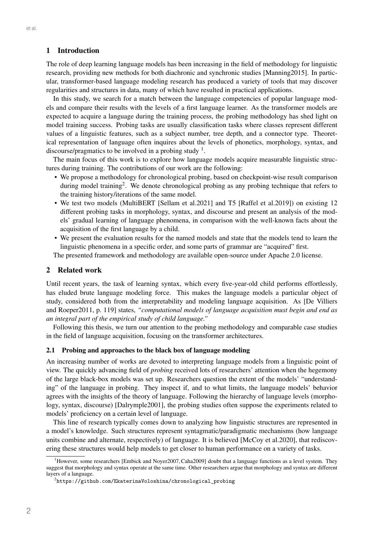### 1 Introduction

The role of deep learning language models has been increasing in the field of methodology for linguistic research, providing new methods for both diachronic and synchronic studies [Manning2015]. In particular, transformer-based language modeling research has produced a variety of tools that may discover regularities and structures in data, many of which have resulted in practical applications.

In this study, we search for a match between the language competencies of popular language models and compare their results with the levels of a first language learner. As the transformer models are expected to acquire a language during the training process, the probing methodology has shed light on model training success. Probing tasks are usually classification tasks where classes represent different values of a linguistic features, such as a subject number, tree depth, and a connector type. Theoretical representation of language often inquires about the levels of phonetics, morphology, syntax, and discourse/pragmatics to be involved in a probing study  $1$ .

The main focus of this work is to explore how language models acquire measurable linguistic structures during training. The contributions of our work are the following:

- We propose a methodology for chronological probing, based on checkpoint-wise result comparison during model training<sup>2</sup>. We denote chronological probing as any probing technique that refers to the training history/iterations of the same model.
- We test two models (MultiBERT [Sellam et al.2021] and T5 [Raffel et al.2019]) on existing 12 different probing tasks in morphology, syntax, and discourse and present an analysis of the models' gradual learning of language phenomena, in comparison with the well-known facts about the acquisition of the first language by a child.
- We present the evaluation results for the named models and state that the models tend to learn the linguistic phenomena in a specific order, and some parts of grammar are "acquired" first.

The presented framework and methodology are available open-source under Apache 2.0 license.

### 2 Related work

Until recent years, the task of learning syntax, which every five-year-old child performs effortlessly, has eluded brute language modeling force. This makes the language models a particular object of study, considered both from the interpretability and modeling language acquisition. As [De Villiers and Roeper2011, p. 119] states, *"computational models of language acquisition must begin and end as an integral part of the empirical study of child language."*

Following this thesis, we turn our attention to the probing methodology and comparable case studies in the field of language acquisition, focusing on the transformer architectures.

#### 2.1 Probing and approaches to the black box of language modeling

An increasing number of works are devoted to interpreting language models from a linguistic point of view. The quickly advancing field of *probing* received lots of researchers' attention when the hegemony of the large black-box models was set up. Researchers question the extent of the models' "understanding" of the language in probing. They inspect if, and to what limits, the language models' behavior agrees with the insights of the theory of language. Following the hierarchy of language levels (morphology, syntax, discourse) [Dalrymple2001], the probing studies often suppose the experiments related to models' proficiency on a certain level of language.

This line of research typically comes down to analyzing how linguistic structures are represented in a model's knowledge. Such structures represent syntagmatic/paradigmatic mechanisms (how language units combine and alternate, respectively) of language. It is believed [McCoy et al.2020], that rediscovering these structures would help models to get closer to human performance on a variety of tasks.

<sup>&</sup>lt;sup>1</sup>However, some researchers [Embick and Noyer2007, Caha2009] doubt that a language functions as a level system. They suggest that morphology and syntax operate at the same time. Other researchers argue that morphology and syntax are different layers of a language.

 $^{2}$ https://github.com/EkaterinaVoloshina/chronological\_probing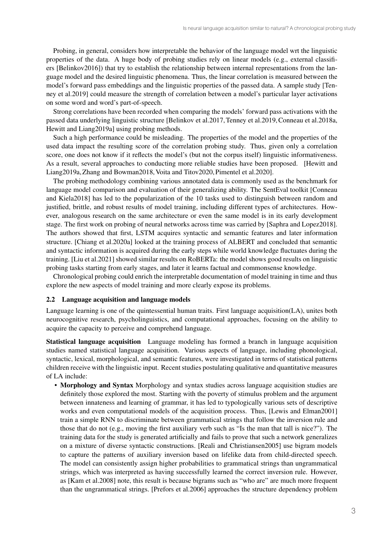Probing, in general, considers how interpretable the behavior of the language model wrt the linguistic properties of the data. A huge body of probing studies rely on linear models (e.g., external classifiers [Belinkov2016]) that try to establish the relationship between internal representations from the language model and the desired linguistic phenomena. Thus, the linear correlation is measured between the model's forward pass embeddings and the linguistic properties of the passed data. A sample study [Tenney et al.2019] could measure the strength of correlation between a model's particular layer activations on some word and word's part-of-speech.

Strong correlations have been recorded when comparing the models' forward pass activations with the passed data underlying linguistic structure [Belinkov et al.2017, Tenney et al.2019,Conneau et al.2018a, Hewitt and Liang2019a] using probing methods.

Such a high performance could be misleading. The properties of the model and the properties of the used data impact the resulting score of the correlation probing study. Thus, given only a correlation score, one does not know if it reflects the model's (but not the corpus itself) linguistic informativeness. As a result, several approaches to conducting more reliable studies have been proposed. [Hewitt and Liang2019a, Zhang and Bowman2018, Voita and Titov2020, Pimentel et al.2020].

The probing methodology combining various annotated data is commonly used as the benchmark for language model comparison and evaluation of their generalizing ability. The SentEval toolkit [Conneau and Kiela2018] has led to the popularization of the 10 tasks used to distinguish between random and justified, brittle, and robust results of model training, including different types of architectures. However, analogous research on the same architecture or even the same model is in its early development stage. The first work on probing of neural networks across time was carried by [Saphra and Lopez2018]. The authors showed that first, LSTM acquires syntactic and semantic features and later information structure. [Chiang et al.2020a] looked at the training process of ALBERT and concluded that semantic and syntactic information is acquired during the early steps while world knowledge fluctuates during the training. [Liu et al.2021] showed similar results on RoBERTa: the model shows good results on linguistic probing tasks starting from early stages, and later it learns factual and commonsense knowledge.

Chronological probing could enrich the interpretable documentation of model training in time and thus explore the new aspects of model training and more clearly expose its problems.

### 2.2 Language acquisition and language models

Language learning is one of the quintessential human traits. First language acquisition(LA), unites both neurocognitive research, psycholinguistics, and computational approaches, focusing on the ability to acquire the capacity to perceive and comprehend language.

Statistical language acquisition Language modeling has formed a branch in language acquisition studies named statistical language acquisition. Various aspects of language, including phonological, syntactic, lexical, morphological, and semantic features, were investigated in terms of statistical patterns children receive with the linguistic input. Recent studies postulating qualitative and quantitative measures of LA include:

• Morphology and Syntax Morphology and syntax studies across language acquisition studies are definitely those explored the most. Starting with the poverty of stimulus problem and the argument between innateness and learning of grammar, it has led to typologically various sets of descriptive works and even computational models of the acquisition process. Thus, [Lewis and Elman2001] train a simple RNN to discriminate between grammatical strings that follow the inversion rule and those that do not (e.g., moving the first auxiliary verb such as "Is the man that tall is nice?"). The training data for the study is generated artificially and fails to prove that such a network generalizes on a mixture of diverse syntactic constructions. [Reali and Christiansen2005] use bigram models to capture the patterns of auxiliary inversion based on lifelike data from child-directed speech. The model can consistently assign higher probabilities to grammatical strings than ungrammatical strings, which was interpreted as having successfully learned the correct inversion rule. However, as [Kam et al.2008] note, this result is because bigrams such as "who are" are much more frequent than the ungrammatical strings. [Prefors et al.2006] approaches the structure dependency problem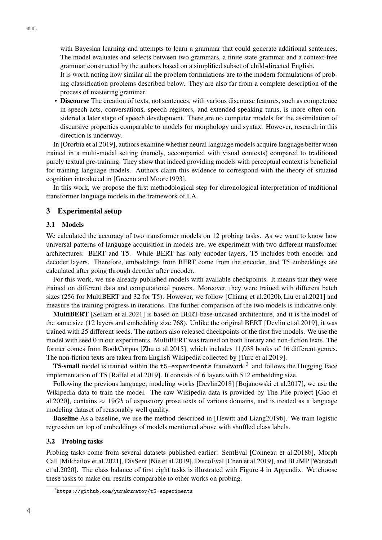with Bayesian learning and attempts to learn a grammar that could generate additional sentences. The model evaluates and selects between two grammars, a finite state grammar and a context-free grammar constructed by the authors based on a simplified subset of child-directed English.

It is worth noting how similar all the problem formulations are to the modern formulations of probing classification problems described below. They are also far from a complete description of the process of mastering grammar.

• Discourse The creation of texts, not sentences, with various discourse features, such as competence in speech acts, conversations, speech registers, and extended speaking turns, is more often considered a later stage of speech development. There are no computer models for the assimilation of discursive properties comparable to models for morphology and syntax. However, research in this direction is underway.

In [Ororbia et al.2019], authors examine whether neural language models acquire language better when trained in a multi-modal setting (namely, accompanied with visual contexts) compared to traditional purely textual pre-training. They show that indeed providing models with perceptual context is beneficial for training language models. Authors claim this evidence to correspond with the theory of situated cognition introduced in [Greeno and Moore1993].

In this work, we propose the first methodological step for chronological interpretation of traditional transformer language models in the framework of LA.

### 3 Experimental setup

#### 3.1 Models

We calculated the accuracy of two transformer models on 12 probing tasks. As we want to know how universal patterns of language acquisition in models are, we experiment with two different transformer architectures: BERT and T5. While BERT has only encoder layers, T5 includes both encoder and decoder layers. Therefore, embeddings from BERT come from the encoder, and T5 embeddings are calculated after going through decoder after encoder.

For this work, we use already published models with available checkpoints. It means that they were trained on different data and computational powers. Moreover, they were trained with different batch sizes (256 for MultiBERT and 32 for T5). However, we follow [Chiang et al.2020b, Liu et al.2021] and measure the training progress in iterations. The further comparison of the two models is indicative only.

MultiBERT [Sellam et al.2021] is based on BERT-base-uncased architecture, and it is the model of the same size (12 layers and embedding size 768). Unlike the original BERT [Devlin et al.2019], it was trained with 25 different seeds. The authors also released checkpoints of the first five models. We use the model with seed 0 in our experiments. MultiBERT was trained on both literary and non-fiction texts. The former comes from BookCorpus [Zhu et al.2015], which includes 11,038 books of 16 different genres. The non-fiction texts are taken from English Wikipedia collected by [Turc et al.2019].

T5-small model is trained within the t5-experiments framework.3 and follows the Hugging Face implementation of T5 [Raffel et al.2019]. It consists of 6 layers with 512 embedding size.

Following the previous language, modeling works [Devlin2018] [Bojanowski et al.2017], we use the Wikipedia data to train the model. The raw Wikipedia data is provided by The Pile project [Gao et al.2020], contains  $\approx 19Gb$  of expository prose texts of various domains, and is treated as a language modeling dataset of reasonably well quality.

Baseline As a baseline, we use the method described in [Hewitt and Liang2019b]. We train logistic regression on top of embeddings of models mentioned above with shuffled class labels.

### 3.2 Probing tasks

Probing tasks come from several datasets published earlier: SentEval [Conneau et al.2018b], Morph Call [Mikhailov et al.2021], DisSent [Nie et al.2019], DiscoEval [Chen et al.2019], and BLiMP [Warstadt et al.2020]. The class balance of first eight tasks is illustrated with Figure 4 in Appendix. We choose these tasks to make our results comparable to other works on probing.

 $^3$ https://github.com/yurakuratov/t5-experiments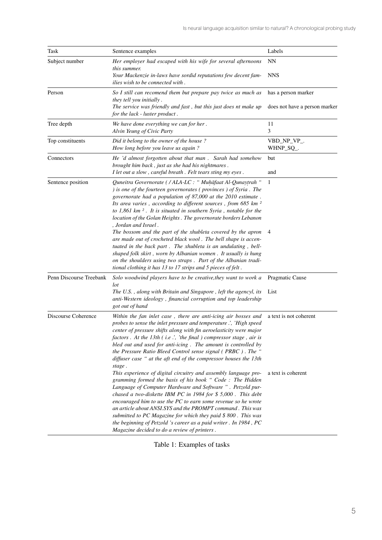| Task                    | Sentence examples                                                                                                                                                                                                                                                                                                                                                                                                                                                                                                                                                             | Labels                        |
|-------------------------|-------------------------------------------------------------------------------------------------------------------------------------------------------------------------------------------------------------------------------------------------------------------------------------------------------------------------------------------------------------------------------------------------------------------------------------------------------------------------------------------------------------------------------------------------------------------------------|-------------------------------|
| Subject number          | Her employer had escaped with his wife for several afternoons<br>this summer.                                                                                                                                                                                                                                                                                                                                                                                                                                                                                                 | NN                            |
|                         | Your Mackenzie in-laws have sordid reputations few decent fam-<br>ilies wish to be connected with.                                                                                                                                                                                                                                                                                                                                                                                                                                                                            | <b>NNS</b>                    |
| Person                  | So I still can recomend them but prepare pay twice as much as<br>they tell you initially.                                                                                                                                                                                                                                                                                                                                                                                                                                                                                     | has a person marker           |
|                         | The service was friendly and fast, but this just does nt make up<br>for the lack - luster product.                                                                                                                                                                                                                                                                                                                                                                                                                                                                            | does not have a person marker |
| Tree depth              | We have done everything we can for her.<br>Alvin Yeung of Civic Party                                                                                                                                                                                                                                                                                                                                                                                                                                                                                                         | 11<br>3                       |
| Top constituents        | Did it belong to the owner of the house?<br>How long before you leave us again?                                                                                                                                                                                                                                                                                                                                                                                                                                                                                               | VBD_NP_VP_.<br>WHNP_SQ_.      |
| Connectors              | He 'd almost forgotten about that man . Sarah had somehow<br>brought him back, just as she had his nightmares.<br>I let out a slow, careful breath. Felt tears sting my eyes.                                                                                                                                                                                                                                                                                                                                                                                                 | but<br>and                    |
| Sentence position       | Quneitra Governorate ( / ALA-LC : " Muhafaat Al-Qunaytrah "<br>) is one of the fourteen governorates (provinces) of Syria. The<br>governorate had a population of 87,000 at the 2010 estimate.<br>Its area varies, according to different sources, from 685 km <sup>2</sup><br>to $1,861$ km $^2$ . It is situated in southern Syria, notable for the<br>location of the Golan Heights. The governorate borders Lebanon<br>, Jordan and Israel.                                                                                                                               | $\mathbf{1}$                  |
|                         | The bossom and the part of the xhubleta covered by the apron<br>are made out of crocheted black wool. The bell shape is accen-<br>tuated in the back part. The xhubleta is an undulating, bell-<br>shaped folk skirt, worn by Albanian women. It usually is hung<br>on the shoulders using two straps. Part of the Albanian tradi-<br>tional clothing it has 13 to 17 strips and 5 pieces of felt.                                                                                                                                                                            | 4                             |
| Penn Discourse Treebank | Solo woodwind players have to be creative, they want to work a<br>lot                                                                                                                                                                                                                                                                                                                                                                                                                                                                                                         | Pragmatic Cause               |
|                         | The U.S., along with Britain and Singapore, left the agencyl, its<br>anti-Western ideology, financial corruption and top leadership<br>got out of hand                                                                                                                                                                                                                                                                                                                                                                                                                        | List                          |
| Discourse Coherence     | Within the fan inlet case, there are anti-icing air bosses and<br>probes to sense the inlet pressure and temperature.', 'High speed<br>center of pressure shifts along with fin aeroelasticity were major<br>factors. At the 13th (i.e.', 'the final ) compressor stage, air is<br>bled out and used for anti-icing. The amount is controlled by<br>the Pressure Ratio Bleed Control sense signal (PRBC). The "<br>diffuser case " at the aft end of the compressor houses the 13th<br>stage.                                                                                 | a text is not coherent        |
|                         | This experience of digital circuitry and assembly language pro-<br>gramming formed the basis of his book " Code: The Hidden<br>Language of Computer Hardware and Software ". Petzold pur-<br>chased a two-diskette IBM PC in 1984 for $$5,000$ . This debt<br>encouraged him to use the PC to earn some revenue so he wrote<br>an article about ANSI.SYS and the PROMPT command. This was<br>submitted to PC Magazine for which they paid \$800. This was<br>the beginning of Petzold 's career as a paid writer. In 1984, PC<br>Magazine decided to do a review of printers. | a text is coherent            |

Table 1: Examples of tasks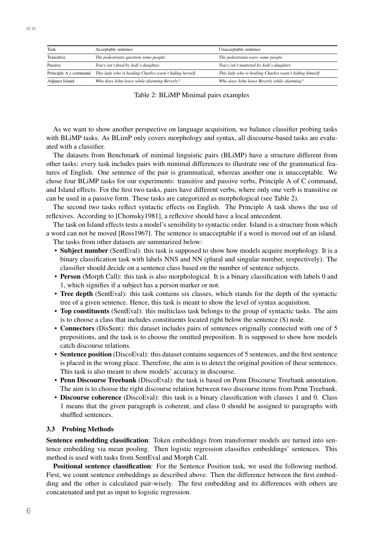| Task                  | Acceptable sentence                                     | Unacceptable sentence                                   |
|-----------------------|---------------------------------------------------------|---------------------------------------------------------|
| Transitive            | The pedestrians question some people.                   | The pedestrians wave some people.                       |
| Passive               | Tracy isn't fired by Jodi's daughter.                   | Tracy isn't muttered by Jodi's daughter.                |
| Principle A c command | This lady who is healing Charles wasn't hiding herself. | This lady who is healing Charles wasn't hiding himself. |
| <b>Adjunct Island</b> | Who does John leave while alarming Beverly?             | Who does John leave Beverly while alarming?             |

Table 2: BLiMP Minimal pairs examples

As we want to show another perspective on language acquisition, we balance classifier probing tasks with BLiMP tasks. As BLimP only covers morphology and syntax, all discourse-based tasks are evaluated with a classifier.

The datasets from Benchmark of minimal linguistic pairs (BLiMP) have a structure different from other tasks: every task includes pairs with minimal differences to illustrate one of the grammatical features of English. One sentence of the pair is grammatical, whereas another one is unacceptable. We chose four BLiMP tasks for our experiments: transitive and passive verbs, Principle A of C command, and Island effects. For the first two tasks, pairs have different verbs, where only one verb is transitive or can be used in a passive form. These tasks are categorized as morphological (see Table 2).

The second two tasks reflect syntactic effects on English. The Principle A task shows the use of reflexives. According to [Chomsky1981], a reflexive should have a local antecedent.

The task on Island effects tests a model's sensibility to syntactic order. Island is a structure from which a word can not be moved [Ross1967]. The sentence is unacceptable if a word is moved out of an island. The tasks from other datasets are summarized below:

- Subject number (SentEval): this task is supposed to show how models acquire morphology. It is a binary classification task with labels NNS and NN (plural and singular number, respectively). The classifier should decide on a sentence class based on the number of sentence subjects.
- Person (Morph Call): this task is also morphological. It is a binary classification with labels 0 and 1, which signifies if a subject has a person marker or not.
- Tree depth (SentEval): this task contains six classes, which stands for the depth of the syntactic tree of a given sentence. Hence, this task is meant to show the level of syntax acquisition.
- Top constituents (SentEval): this multiclass task belongs to the group of syntactic tasks. The aim is to choose a class that includes constituents located right below the sentence (S) node.
- Connectors (DisSent): this dataset includes pairs of sentences originally connected with one of 5 prepositions, and the task is to choose the omitted preposition. It is supposed to show how models catch discourse relations.
- Sentence position (DiscoEval): this dataset contains sequences of 5 sentences, and the first sentence is placed in the wrong place. Therefore, the aim is to detect the original position of these sentences. This task is also meant to show models' accuracy in discourse.
- Penn Discourse Treebank (DiscoEval): the task is based on Penn Discourse Treebank annotation. The aim is to choose the right discourse relation between two discourse items from Penn Treebank.
- Discourse coherence (DiscoEval): this task is a binary classification with classes 1 and 0. Class 1 means that the given paragraph is coherent, and class 0 should be assigned to paragraphs with shuffled sentences.

### 3.3 Probing Methods

Sentence embedding classification: Token embeddings from transformer models are turned into sentence embedding via mean pooling. Then logistic regression classifies embeddings' sentences. This method is used with tasks from SentEval and Morph Call.

Positional sentence classification: For the Sentence Position task, we used the following method. First, we count sentence embeddings as described above. Then the difference between the first embedding and the other is calculated pair-wisely. The first embedding and its differences with others are concatenated and put as input to logistic regression.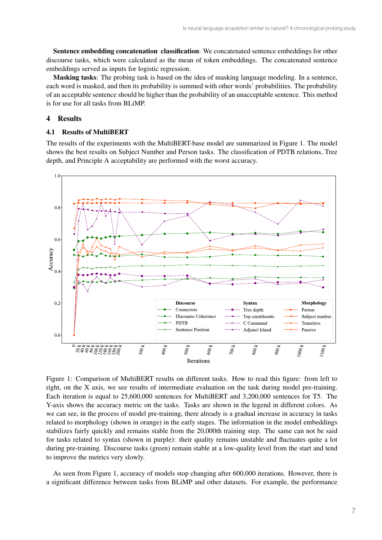Sentence embedding concatenation classification: We concatenated sentence embeddings for other discourse tasks, which were calculated as the mean of token embeddings. The concatenated sentence embeddings served as inputs for logistic regression.

Masking tasks: The probing task is based on the idea of masking language modeling. In a sentence, each word is masked, and then its probability is summed with other words' probabilities. The probability of an acceptable sentence should be higher than the probability of an unacceptable sentence. This method is for use for all tasks from BLiMP.

### 4 Results

### 4.1 Results of MultiBERT

The results of the experiments with the MultiBERT-base model are summarized in Figure 1. The model shows the best results on Subject Number and Person tasks. The classification of PDTB relations, Tree depth, and Principle A acceptability are performed with the worst accuracy.



Figure 1: Comparison of MultiBERT results on different tasks. How to read this figure: from left to right, on the X axis, we see results of intermediate evaluation on the task during model pre-training. Each iteration is equal to 25,600,000 sentences for MultiBERT and 3,200,000 sentences for T5. The Y-axis shows the accuracy metric on the tasks. Tasks are shown in the legend in different colors. As we can see, in the process of model pre-training, there already is a gradual increase in accuracy in tasks related to morphology (shown in orange) in the early stages. The information in the model embeddings stabilizes fairly quickly and remains stable from the 20,000th training step. The same can not be said for tasks related to syntax (shown in purple): their quality remains unstable and fluctuates quite a lot during pre-training. Discourse tasks (green) remain stable at a low-quality level from the start and tend to improve the metrics very slowly.

As seen from Figure 1, accuracy of models stop changing after 600,000 iterations. However, there is a significant difference between tasks from BLiMP and other datasets. For example, the performance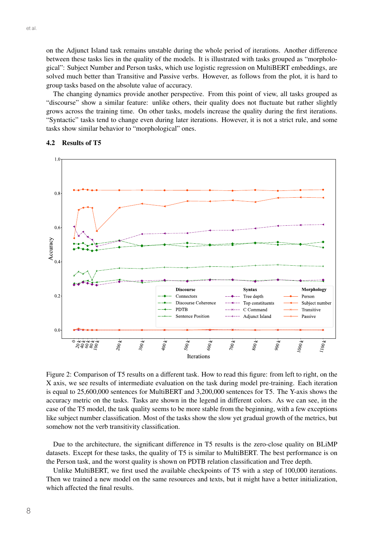on the Adjunct Island task remains unstable during the whole period of iterations. Another difference between these tasks lies in the quality of the models. It is illustrated with tasks grouped as "morphological": Subject Number and Person tasks, which use logistic regression on MultiBERT embeddings, are solved much better than Transitive and Passive verbs. However, as follows from the plot, it is hard to group tasks based on the absolute value of accuracy.

The changing dynamics provide another perspective. From this point of view, all tasks grouped as "discourse" show a similar feature: unlike others, their quality does not fluctuate but rather slightly grows across the training time. On other tasks, models increase the quality during the first iterations. "Syntactic" tasks tend to change even during later iterations. However, it is not a strict rule, and some tasks show similar behavior to "morphological" ones.



#### 4.2 Results of T5

Figure 2: Comparison of T5 results on a different task. How to read this figure: from left to right, on the X axis, we see results of intermediate evaluation on the task during model pre-training. Each iteration is equal to 25,600,000 sentences for MultiBERT and 3,200,000 sentences for T5. The Y-axis shows the accuracy metric on the tasks. Tasks are shown in the legend in different colors. As we can see, in the case of the T5 model, the task quality seems to be more stable from the beginning, with a few exceptions like subject number classification. Most of the tasks show the slow yet gradual growth of the metrics, but somehow not the verb transitivity classification.

Due to the architecture, the significant difference in T5 results is the zero-close quality on BLiMP datasets. Except for these tasks, the quality of T5 is similar to MultiBERT. The best performance is on the Person task, and the worst quality is shown on PDTB relation classification and Tree depth.

Unlike MultiBERT, we first used the available checkpoints of T5 with a step of 100,000 iterations. Then we trained a new model on the same resources and texts, but it might have a better initialization, which affected the final results.

et al.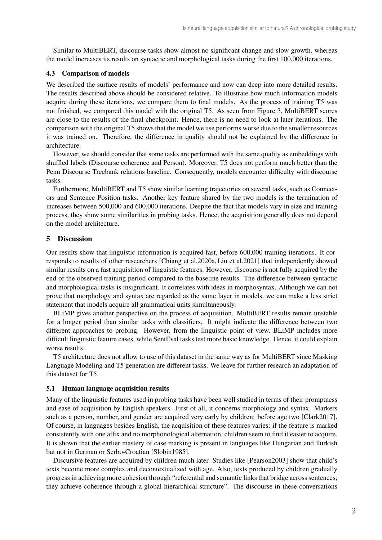Similar to MultiBERT, discourse tasks show almost no significant change and slow growth, whereas the model increases its results on syntactic and morphological tasks during the first 100,000 iterations.

### 4.3 Comparison of models

We described the surface results of models' performance and now can deep into more detailed results. The results described above should be considered relative. To illustrate how much information models acquire during these iterations, we compare them to final models. As the process of training T5 was not finished, we compared this model with the original T5. As seen from Figure 3, MultiBERT scores are close to the results of the final checkpoint. Hence, there is no need to look at later iterations. The comparison with the original T5 shows that the model we use performs worse due to the smaller resources it was trained on. Therefore, the difference in quality should not be explained by the difference in architecture.

However, we should consider that some tasks are performed with the same quality as embeddings with shuffled labels (Discourse coherence and Person). Moreover, T5 does not perform much better than the Penn Discourse Treebank relations baseline. Consequently, models encounter difficulty with discourse tasks.

Furthermore, MultiBERT and T5 show similar learning trajectories on several tasks, such as Connectors and Sentence Position tasks. Another key feature shared by the two models is the termination of increases between 500,000 and 600,000 iterations. Despite the fact that models vary in size and training process, they show some similarities in probing tasks. Hence, the acquisition generally does not depend on the model architecture.

### 5 Discussion

Our results show that linguistic information is acquired fast, before 600,000 training iterations. It corresponds to results of other researchers [Chiang et al.2020a, Liu et al.2021] that independently showed similar results on a fast acquisition of linguistic features. However, discourse is not fully acquired by the end of the observed training period compared to the baseline results. The difference between syntactic and morphological tasks is insignificant. It correlates with ideas in morphosyntax. Although we can not prove that morphology and syntax are regarded as the same layer in models, we can make a less strict statement that models acquire all grammatical units simultaneously.

BLiMP gives another perspective on the process of acquisition. MultiBERT results remain unstable for a longer period than similar tasks with classifiers. It might indicate the difference between two different approaches to probing. However, from the linguistic point of view, BLiMP includes more difficult linguistic feature cases, while SentEval tasks test more basic knowledge. Hence, it could explain worse results.

T5 architecture does not allow to use of this dataset in the same way as for MultiBERT since Masking Language Modeling and T5 generation are different tasks. We leave for further research an adaptation of this dataset for T5.

#### 5.1 Human language acquisition results

Many of the linguistic features used in probing tasks have been well studied in terms of their promptness and ease of acquisition by English speakers. First of all, it concerns morphology and syntax. Markers such as a person, number, and gender are acquired very early by children: before age two [Clark2017]. Of course, in languages besides English, the acquisition of these features varies: if the feature is marked consistently with one affix and no morphonological alternation, children seem to find it easier to acquire. It is shown that the earlier mastery of case marking is present in languages like Hungarian and Turkish but not in German or Serbo-Croatian [Slobin1985].

Discursive features are acquired by children much later. Studies like [Pearson2003] show that child's texts become more complex and decontextualized with age. Also, texts produced by children gradually progress in achieving more cohesion through "referential and semantic links that bridge across sentences; they achieve coherence through a global hierarchical structure". The discourse in these conversations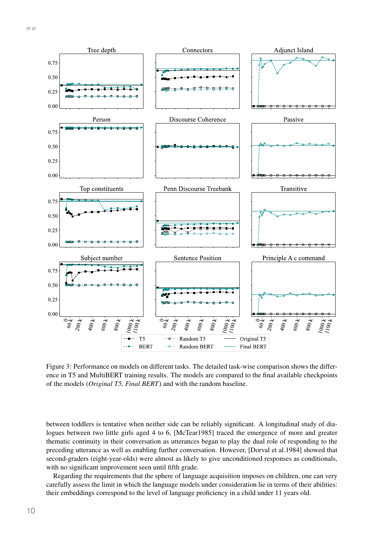

Figure 3: Performance on models on different tasks. The detailed task-wise comparison shows the difference in T5 and MultiBERT training results. The models are compared to the final available checkpoints of the models (*Original T5, Final BERT*) and with the random baseline.

between toddlers is tentative when neither side can be reliably significant. A longitudinal study of dialogues between two little girls aged 4 to 6, [McTear1985] traced the emergence of more and greater thematic continuity in their conversation as utterances began to play the dual role of responding to the preceding utterance as well as enabling further conversation. However, [Dorval et al.1984] showed that second-graders (eight-year-olds) were almost as likely to give unconditioned responses as conditionals, with no significant improvement seen until fifth grade.

Regarding the requirements that the sphere of language acquisition imposes on children, one can very carefully assess the limit in which the language models under consideration lie in terms of their abilities: their embeddings correspond to the level of language proficiency in a child under 11 years old.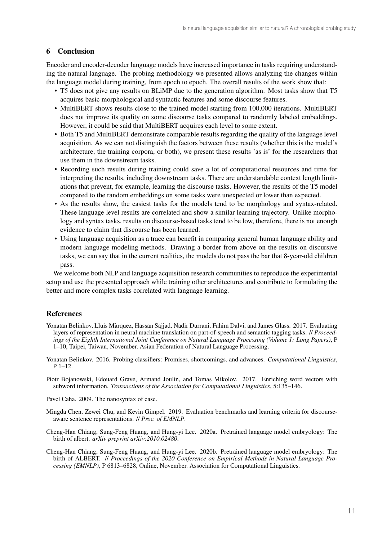### 6 Conclusion

Encoder and encoder-decoder language models have increased importance in tasks requiring understanding the natural language. The probing methodology we presented allows analyzing the changes within the language model during training, from epoch to epoch. The overall results of the work show that:

- T5 does not give any results on BLiMP due to the generation algorithm. Most tasks show that T5 acquires basic morphological and syntactic features and some discourse features.
- MultiBERT shows results close to the trained model starting from 100,000 iterations. MultiBERT does not improve its quality on some discourse tasks compared to randomly labeled embeddings. However, it could be said that MultiBERT acquires each level to some extent.
- Both T5 and MultiBERT demonstrate comparable results regarding the quality of the language level acquisition. As we can not distinguish the factors between these results (whether this is the model's architecture, the training corpora, or both), we present these results 'as is' for the researchers that use them in the downstream tasks.
- Recording such results during training could save a lot of computational resources and time for interpreting the results, including downstream tasks. There are understandable context length limitations that prevent, for example, learning the discourse tasks. However, the results of the T5 model compared to the random embeddings on some tasks were unexpected or lower than expected.
- As the results show, the easiest tasks for the models tend to be morphology and syntax-related. These language level results are correlated and show a similar learning trajectory. Unlike morphology and syntax tasks, results on discourse-based tasks tend to be low, therefore, there is not enough evidence to claim that discourse has been learned.
- Using language acquisition as a trace can benefit in comparing general human language ability and modern language modeling methods. Drawing a border from above on the results on discursive tasks, we can say that in the current realities, the models do not pass the bar that 8-year-old children pass.

We welcome both NLP and language acquisition research communities to reproduce the experimental setup and use the presented approach while training other architectures and contribute to formulating the better and more complex tasks correlated with language learning.

## **References**

- Yonatan Belinkov, Lluís Màrquez, Hassan Sajjad, Nadir Durrani, Fahim Dalvi, and James Glass. 2017. Evaluating layers of representation in neural machine translation on part-of-speech and semantic tagging tasks. // *Proceedings of the Eighth International Joint Conference on Natural Language Processing (Volume 1: Long Papers)*, P 1–10, Taipei, Taiwan, November. Asian Federation of Natural Language Processing.
- Yonatan Belinkov. 2016. Probing classifiers: Promises, shortcomings, and advances. *Computational Linguistics*, P 1–12.
- Piotr Bojanowski, Edouard Grave, Armand Joulin, and Tomas Mikolov. 2017. Enriching word vectors with subword information. *Transactions of the Association for Computational Linguistics*, 5:135–146.
- Pavel Caha. 2009. The nanosyntax of case.
- Mingda Chen, Zewei Chu, and Kevin Gimpel. 2019. Evaluation benchmarks and learning criteria for discourseaware sentence representations. // *Proc. of EMNLP*.
- Cheng-Han Chiang, Sung-Feng Huang, and Hung-yi Lee. 2020a. Pretrained language model embryology: The birth of albert. *arXiv preprint arXiv:2010.02480*.
- Cheng-Han Chiang, Sung-Feng Huang, and Hung-yi Lee. 2020b. Pretrained language model embryology: The birth of ALBERT. // *Proceedings of the 2020 Conference on Empirical Methods in Natural Language Processing (EMNLP)*, P 6813–6828, Online, November. Association for Computational Linguistics.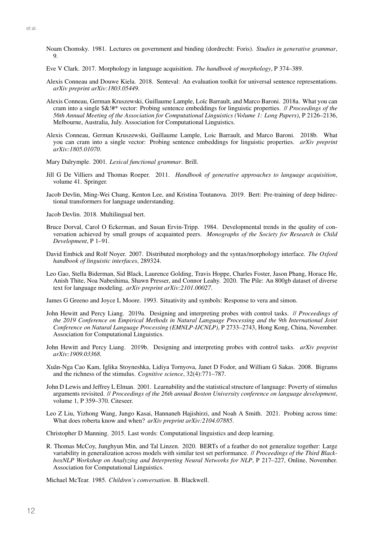- Noam Chomsky. 1981. Lectures on government and binding (dordrecht: Foris). *Studies in generative grammar*,  $\mathbf Q$
- Eve V Clark. 2017. Morphology in language acquisition. *The handbook of morphology*, P 374–389.
- Alexis Conneau and Douwe Kiela. 2018. Senteval: An evaluation toolkit for universal sentence representations. *arXiv preprint arXiv:1803.05449*.
- Alexis Conneau, German Kruszewski, Guillaume Lample, Loïc Barrault, and Marco Baroni. 2018a. What you can cram into a single \$&!#\* vector: Probing sentence embeddings for linguistic properties. // *Proceedings of the 56th Annual Meeting of the Association for Computational Linguistics (Volume 1: Long Papers)*, P 2126–2136, Melbourne, Australia, July. Association for Computational Linguistics.
- Alexis Conneau, German Kruszewski, Guillaume Lample, Loic Barrault, and Marco Baroni. 2018b. What you can cram into a single vector: Probing sentence embeddings for linguistic properties. *arXiv preprint arXiv:1805.01070*.
- Mary Dalrymple. 2001. *Lexical functional grammar*. Brill.
- Jill G De Villiers and Thomas Roeper. 2011. *Handbook of generative approaches to language acquisition*, volume 41. Springer.
- Jacob Devlin, Ming-Wei Chang, Kenton Lee, and Kristina Toutanova. 2019. Bert: Pre-training of deep bidirectional transformers for language understanding.
- Jacob Devlin. 2018. Multilingual bert.
- Bruce Dorval, Carol O Eckerman, and Susan Ervin-Tripp. 1984. Developmental trends in the quality of conversation achieved by small groups of acquainted peers. *Monographs of the Society for Research in Child Development*, P 1–91.
- David Embick and Rolf Noyer. 2007. Distributed morphology and the syntax/morphology interface. *The Oxford handbook of linguistic interfaces*, 289324.
- Leo Gao, Stella Biderman, Sid Black, Laurence Golding, Travis Hoppe, Charles Foster, Jason Phang, Horace He, Anish Thite, Noa Nabeshima, Shawn Presser, and Connor Leahy. 2020. The Pile: An 800gb dataset of diverse text for language modeling. *arXiv preprint arXiv:2101.00027*.
- James G Greeno and Joyce L Moore. 1993. Situativity and symbols: Response to vera and simon.
- John Hewitt and Percy Liang. 2019a. Designing and interpreting probes with control tasks. // *Proceedings of the 2019 Conference on Empirical Methods in Natural Language Processing and the 9th International Joint Conference on Natural Language Processing (EMNLP-IJCNLP)*, P 2733–2743, Hong Kong, China, November. Association for Computational Linguistics.
- John Hewitt and Percy Liang. 2019b. Designing and interpreting probes with control tasks. *arXiv preprint arXiv:1909.03368*.
- Xuân-Nga Cao Kam, Iglika Stoyneshka, Lidiya Tornyova, Janet D Fodor, and William G Sakas. 2008. Bigrams and the richness of the stimulus. *Cognitive science*, 32(4):771–787.
- John D Lewis and Jeffrey L Elman. 2001. Learnability and the statistical structure of language: Poverty of stimulus arguments revisited. // *Proceedings of the 26th annual Boston University conference on language development*, volume 1, P 359–370. Citeseer.
- Leo Z Liu, Yizhong Wang, Jungo Kasai, Hannaneh Hajishirzi, and Noah A Smith. 2021. Probing across time: What does roberta know and when? *arXiv preprint arXiv:2104.07885*.

Christopher D Manning. 2015. Last words: Computational linguistics and deep learning.

R. Thomas McCoy, Junghyun Min, and Tal Linzen. 2020. BERTs of a feather do not generalize together: Large variability in generalization across models with similar test set performance. // *Proceedings of the Third BlackboxNLP Workshop on Analyzing and Interpreting Neural Networks for NLP*, P 217–227, Online, November. Association for Computational Linguistics.

Michael McTear. 1985. *Children's conversation*. B. Blackwell.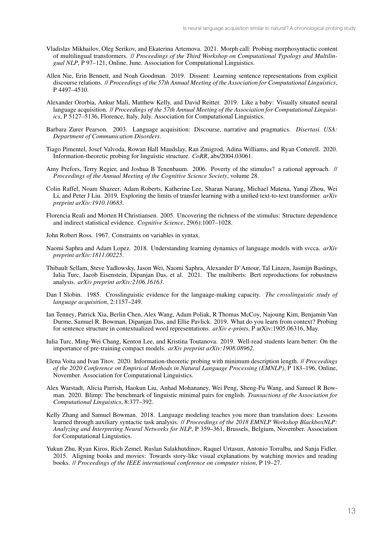- Vladislav Mikhailov, Oleg Serikov, and Ekaterina Artemova. 2021. Morph call: Probing morphosyntactic content of multilingual transformers. // *Proceedings of the Third Workshop on Computational Typology and Multilingual NLP*, P 97–121, Online, June. Association for Computational Linguistics.
- Allen Nie, Erin Bennett, and Noah Goodman. 2019. Dissent: Learning sentence representations from explicit discourse relations. // *Proceedings of the 57th Annual Meeting of the Association for Computational Linguistics*, P 4497–4510.
- Alexander Ororbia, Ankur Mali, Matthew Kelly, and David Reitter. 2019. Like a baby: Visually situated neural language acquisition. // *Proceedings of the 57th Annual Meeting of the Association for Computational Linguistics*, P 5127–5136, Florence, Italy, July. Association for Computational Linguistics.
- Barbara Zurer Pearson. 2003. Language acquisition: Discourse, narrative and pragmatics. *Disertasi. USA: Department of Communication Disorders*.
- Tiago Pimentel, Josef Valvoda, Rowan Hall Maudslay, Ran Zmigrod, Adina Williams, and Ryan Cotterell. 2020. Information-theoretic probing for linguistic structure. *CoRR*, abs/2004.03061.
- Amy Prefors, Terry Regier, and Joshua B Tenenbaum. 2006. Poverty of the stimulus? a rational approach. // *Proceedings of the Annual Meeting of the Cognitive Science Society*, volume 28.
- Colin Raffel, Noam Shazeer, Adam Roberts, Katherine Lee, Sharan Narang, Michael Matena, Yanqi Zhou, Wei Li, and Peter J Liu. 2019. Exploring the limits of transfer learning with a unified text-to-text transformer. *arXiv preprint arXiv:1910.10683*.
- Florencia Reali and Morten H Christiansen. 2005. Uncovering the richness of the stimulus: Structure dependence and indirect statistical evidence. *Cognitive Science*, 29(6):1007–1028.
- John Robert Ross. 1967. Constraints on variables in syntax.
- Naomi Saphra and Adam Lopez. 2018. Understanding learning dynamics of language models with svcca. *arXiv preprint arXiv:1811.00225*.
- Thibault Sellam, Steve Yadlowsky, Jason Wei, Naomi Saphra, Alexander D'Amour, Tal Linzen, Jasmijn Bastings, Iulia Turc, Jacob Eisenstein, Dipanjan Das, et al. 2021. The multiberts: Bert reproductions for robustness analysis. *arXiv preprint arXiv:2106.16163*.
- Dan I Slobin. 1985. Crosslinguistic evidence for the language-making capacity. *The crosslinguistic study of language acquisition*, 2:1157–249.
- Ian Tenney, Patrick Xia, Berlin Chen, Alex Wang, Adam Poliak, R Thomas McCoy, Najoung Kim, Benjamin Van Durme, Samuel R. Bowman, Dipanjan Das, and Ellie Pavlick. 2019. What do you learn from context? Probing for sentence structure in contextualized word representations. *arXiv e-prints*, P arXiv:1905.06316, May.
- Iulia Turc, Ming-Wei Chang, Kenton Lee, and Kristina Toutanova. 2019. Well-read students learn better: On the importance of pre-training compact models. *arXiv preprint arXiv:1908.08962*.
- Elena Voita and Ivan Titov. 2020. Information-theoretic probing with minimum description length. // *Proceedings of the 2020 Conference on Empirical Methods in Natural Language Processing (EMNLP)*, P 183–196, Online, November. Association for Computational Linguistics.
- Alex Warstadt, Alicia Parrish, Haokun Liu, Anhad Mohananey, Wei Peng, Sheng-Fu Wang, and Samuel R Bowman. 2020. Blimp: The benchmark of linguistic minimal pairs for english. *Transactions of the Association for Computational Linguistics*, 8:377–392.
- Kelly Zhang and Samuel Bowman. 2018. Language modeling teaches you more than translation does: Lessons learned through auxiliary syntactic task analysis. // *Proceedings of the 2018 EMNLP Workshop BlackboxNLP: Analyzing and Interpreting Neural Networks for NLP*, P 359–361, Brussels, Belgium, November. Association for Computational Linguistics.
- Yukun Zhu, Ryan Kiros, Rich Zemel, Ruslan Salakhutdinov, Raquel Urtasun, Antonio Torralba, and Sanja Fidler. 2015. Aligning books and movies: Towards story-like visual explanations by watching movies and reading books. // *Proceedings of the IEEE international conference on computer vision*, P 19–27.